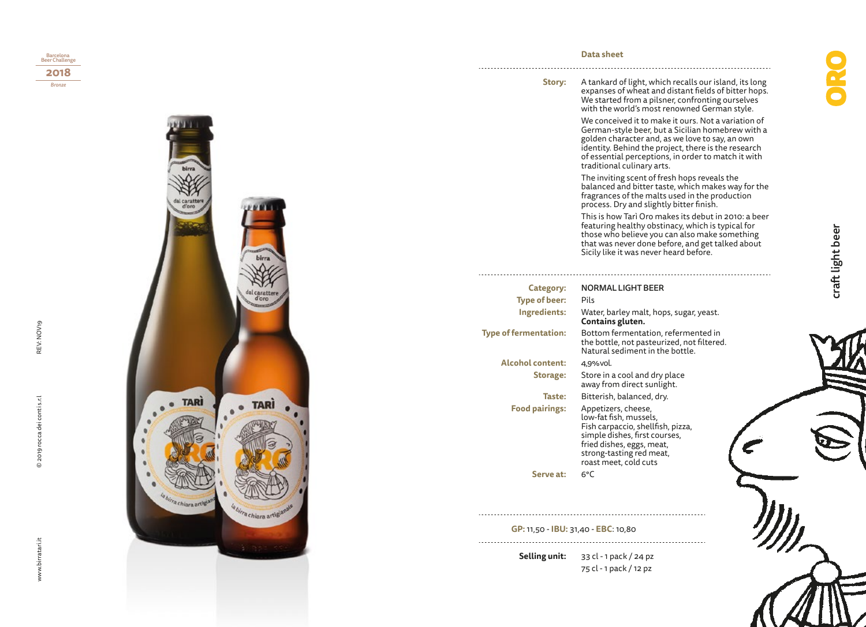

## **Data sheet**

A tankard of light, which recalls our island, its long expanses of wheat and distant fields of bitter hops. We started from a pilsner, confronting ourselves with the world's most renowned German style. **Story:**

> We conceived it to make it ours. Not a variation of German-style beer, but a Sicilian homebrew with a golden character and, as we love to say, an own identity. Behind the project, there is the research of essential perceptions, in order to match it with traditional culinary arts.

The inviting scent of fresh hops reveals the balanced and bitter taste, which makes way for the fragrances of the malts used in the production process. Dry and slightly bitter finish.

This is how Tarì Oro makes its debut in 2010: a beer featuring healthy obstinacy, which is typical for those who believe you can also make something that was never done before, and get talked about Sicily like it was never heard before.

| Category:                    | <b>NORMAL LIGHT BEER</b>                                                                                                                                                                              |  |
|------------------------------|-------------------------------------------------------------------------------------------------------------------------------------------------------------------------------------------------------|--|
| <b>Type of beer:</b>         | Pils                                                                                                                                                                                                  |  |
| Ingredients:                 | Water, barley malt, hops, sugar, yeast.<br>Contains gluten.                                                                                                                                           |  |
| <b>Type of fermentation:</b> | Bottom fermentation, refermented in<br>the bottle, not pasteurized, not filtered.<br>Natural sediment in the bottle.                                                                                  |  |
| <b>Alcohol content:</b>      | 4,9% vol.                                                                                                                                                                                             |  |
| Storage:                     | Store in a cool and dry place<br>away from direct sunlight.                                                                                                                                           |  |
| Taste:                       | Bitterish, balanced, dry.                                                                                                                                                                             |  |
| <b>Food pairings:</b>        | Appetizers, cheese,<br>low-fat fish, mussels,<br>Fish carpaccio, shellfish, pizza,<br>simple dishes, first courses,<br>fried dishes, eggs, meat,<br>strong-tasting red meat,<br>roast meet, cold cuts |  |
| Serve at:                    | 6°C                                                                                                                                                                                                   |  |
|                              |                                                                                                                                                                                                       |  |

**GP:** 11,50 - **IBU:** 31,40 - **EBC**: 10,80

33 cl - 1 pack / 24 pz **Selling unit:** 75 cl - 1 pack / 12 pz

 $\sum$